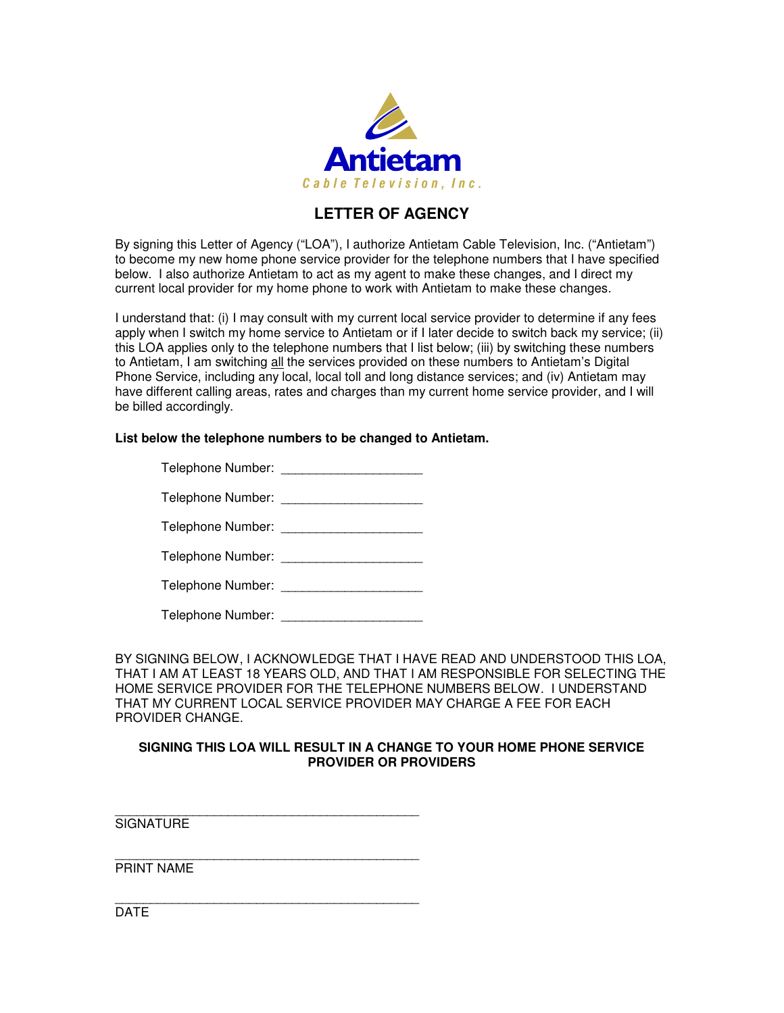

## **LETTER OF AGENCY**

By signing this Letter of Agency ("LOA"), I authorize Antietam Cable Television, Inc. ("Antietam") to become my new home phone service provider for the telephone numbers that I have specified below. I also authorize Antietam to act as my agent to make these changes, and I direct my current local provider for my home phone to work with Antietam to make these changes.

I understand that: (i) I may consult with my current local service provider to determine if any fees apply when I switch my home service to Antietam or if I later decide to switch back my service; (ii) this LOA applies only to the telephone numbers that I list below; (iii) by switching these numbers to Antietam, I am switching all the services provided on these numbers to Antietam's Digital Phone Service, including any local, local toll and long distance services; and (iv) Antietam may have different calling areas, rates and charges than my current home service provider, and I will be billed accordingly.

## **List below the telephone numbers to be changed to Antietam.**

| Telephone Number: |  |
|-------------------|--|
|                   |  |

| Telephone Number: |  |
|-------------------|--|
|                   |  |

| Telephone Number: |  |
|-------------------|--|
|-------------------|--|

| Telephone Number: |  |
|-------------------|--|
|-------------------|--|

BY SIGNING BELOW, I ACKNOWLEDGE THAT I HAVE READ AND UNDERSTOOD THIS LOA, THAT I AM AT LEAST 18 YEARS OLD, AND THAT I AM RESPONSIBLE FOR SELECTING THE HOME SERVICE PROVIDER FOR THE TELEPHONE NUMBERS BELOW. I UNDERSTAND THAT MY CURRENT LOCAL SERVICE PROVIDER MAY CHARGE A FEE FOR EACH PROVIDER CHANGE.

## **SIGNING THIS LOA WILL RESULT IN A CHANGE TO YOUR HOME PHONE SERVICE PROVIDER OR PROVIDERS**

\_\_\_\_\_\_\_\_\_\_\_\_\_\_\_\_\_\_\_\_\_\_\_\_\_\_\_\_\_\_\_\_\_\_\_\_\_\_\_\_\_\_\_ **SIGNATURE** 

\_\_\_\_\_\_\_\_\_\_\_\_\_\_\_\_\_\_\_\_\_\_\_\_\_\_\_\_\_\_\_\_\_\_\_\_\_\_\_\_\_\_\_

\_\_\_\_\_\_\_\_\_\_\_\_\_\_\_\_\_\_\_\_\_\_\_\_\_\_\_\_\_\_\_\_\_\_\_\_\_\_\_\_\_\_\_ PRINT NAME

DATE